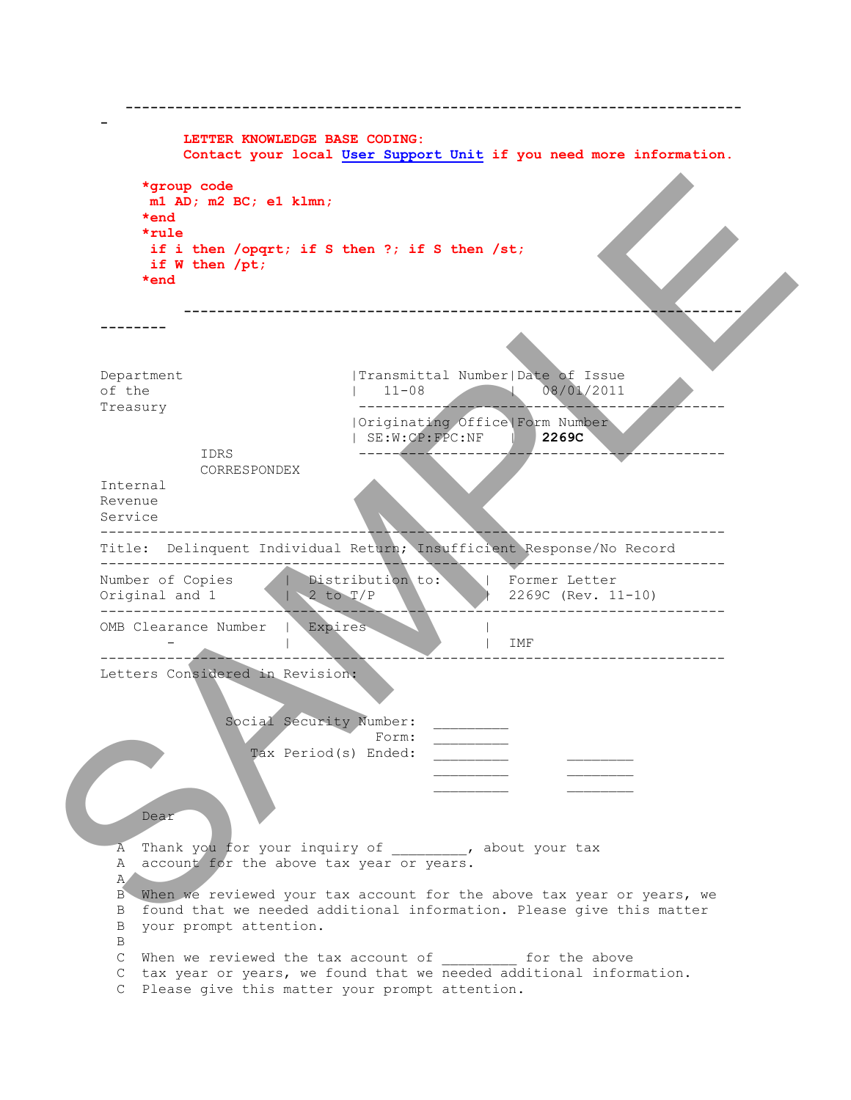|                                    |                                                              | LETTER KNOWLEDGE BASE CODING:                                                             |                    | Contact your local User Support Unit if you need more information.                                                                              |  |
|------------------------------------|--------------------------------------------------------------|-------------------------------------------------------------------------------------------|--------------------|-------------------------------------------------------------------------------------------------------------------------------------------------|--|
| $*end$<br>$*rule$<br>$*end$        | *group code<br>m1 AD; m2 BC; e1 klmn;<br>if $W$ then $/pt$ ; | if i then /opqrt; if S then ?; if S then /st;                                             |                    |                                                                                                                                                 |  |
|                                    |                                                              |                                                                                           |                    |                                                                                                                                                 |  |
| Department<br>of the<br>Treasury   | IDRS                                                         | $11 - 08$                                                                                 | SE: W: CP: FPC: NF | Transmittal Number Date of Issue<br>08/01/2011<br>  Originating Office  Form Number<br>2269C                                                    |  |
| Internal<br>Revenue<br>Service     | CORRESPONDEX                                                 |                                                                                           |                    |                                                                                                                                                 |  |
|                                    |                                                              |                                                                                           |                    | Title: Delinquent Individual Return; Insufficient Response/No Record                                                                            |  |
| Number of Copies<br>Original and 1 | OMB Clearance Number                                         | Distribution to:<br>2 to $T/P$<br>Expires                                                 |                    | Former Letter<br>2269C (Rev. 11-10)                                                                                                             |  |
|                                    |                                                              |                                                                                           |                    | IMF                                                                                                                                             |  |
| Dear                               | Letters Considered in Revision:                              | Social Security Number:<br>Form:<br>Tax Period(s) Ended:                                  |                    |                                                                                                                                                 |  |
| A<br>A<br>$A \setminus$<br>B<br>B  | your prompt attention.                                       | Thank you for your inquiry of (about your tax<br>account for the above tax year or years. |                    | B When we reviewed your tax account for the above tax year or years, we<br>found that we needed additional information. Please give this matter |  |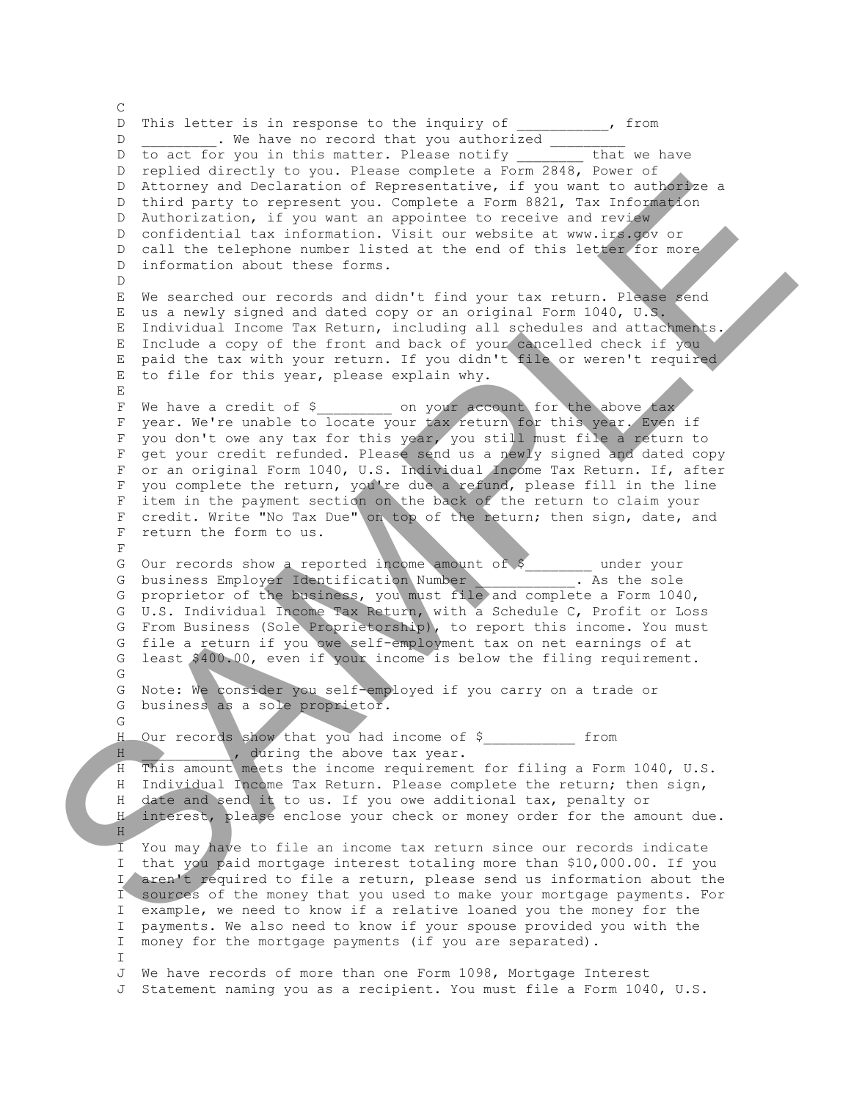$\mathcal{C}$ D This letter is in response to the inquiry of \_\_\_\_\_\_\_\_\_, from D \_\_\_\_\_\_\_\_\_. We have no record that you authorized \_\_\_\_\_\_\_\_\_ D to act for you in this matter. Please notify \_\_\_\_\_\_ D replied directly to you. Please complete a Form 2848, Power of D Attorney and Declaration of Representative, if you want to authorize a D third party to represent you. Complete a Form 8821, Tax Information D Authorization, if you want an appointee to receive and review D confidential tax information. Visit our website at www.irs.gov or D call the telephone number listed at the end of this letter for more D information about these forms. D E We searched our records and didn't find your tax return. Please send E us a newly signed and dated copy or an original Form 1040, U.S. E Individual Income Tax Return, including all schedules and attachments. E Include a copy of the front and back of your cancelled check if you E paid the tax with your return. If you didn't file or weren't required E to file for this year, please explain why.  $E_{\perp}$ F We have a credit of \$ on your account for the above tax F year. We're unable to locate your tax return for this year. Even if F you don't owe any tax for this year, you still must file a return to F get your credit refunded. Please send us a newly signed and dated copy F or an original Form 1040, U.S. Individual Income Tax Return. If, after F you complete the return, you're due a refund, please fill in the line F item in the payment section on the back of the return to claim your F credit. Write "No Tax Due" on top of the return; then sign, date, and F return the form to us. F G Our records show a reported income amount of \$ \_\_\_\_\_\_ under your G business Employer Identification Number . As the sole G business Employer Identification Number<br>
G proprietor of the business, you must file and complete a Form 1040, G U.S. Individual Income Tax Return, with a Schedule C, Profit or Loss G From Business (Sole Proprietorship), to report this income. You must G file a return if you owe self-employment tax on net earnings of at G least \$400.00, even if your income is below the filing requirement. G G Note: We consider you self-employed if you carry on a trade or G business as a sole proprietor. G H Our records show that you had income of \$\_\_\_\_\_\_\_\_\_\_\_ from H \_\_\_\_\_\_\_\_\_\_, during the above tax year. H This amount meets the income requirement for filing a Form 1040, U.S. H Individual Income Tax Return. Please complete the return; then sign, H date and send it to us. If you owe additional tax, penalty or H interest, please enclose your check or money order for the amount due.  $H$  I You may have to file an income tax return since our records indicate I that you paid mortgage interest totaling more than \$10,000.00. If you I aren't required to file a return, please send us information about the I sources of the money that you used to make your mortgage payments. For I example, we need to know if a relative loaned you the money for the I payments. We also need to know if your spouse provided you with the I money for the mortgage payments (if you are separated).  $\mathsf{T}$  J We have records of more than one Form 1098, Mortgage Interest J Statement naming you as a recipient. You must file a Form 1040, U.S. The financial Dealer and Contentine, the content of the same of the same of the same of the same of the same of the same of the same of the same of the same of the same of the same of the same of the same of the same of t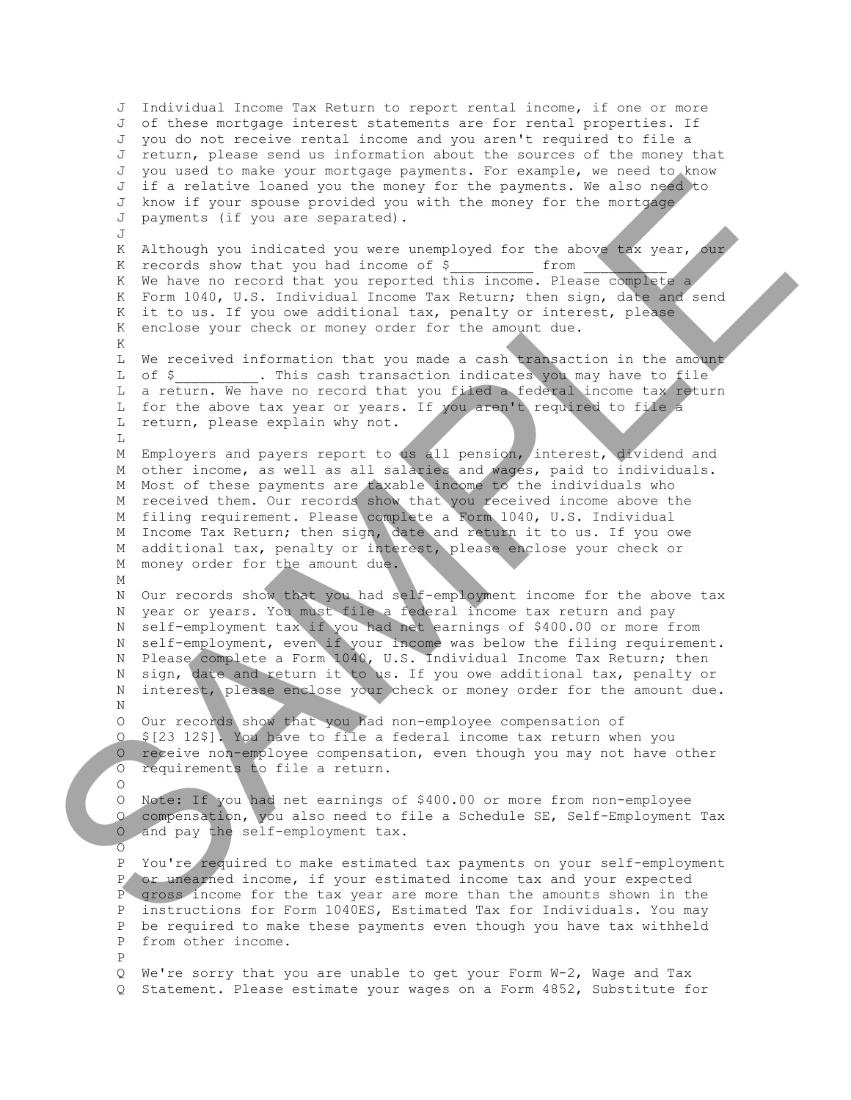J Individual Income Tax Return to report rental income, if one or more J of these mortgage interest statements are for rental properties. If J you do not receive rental income and you aren't required to file a J return, please send us information about the sources of the money that J you used to make your mortgage payments. For example, we need to know J if a relative loaned you the money for the payments. We also need to J know if your spouse provided you with the money for the mortgage J payments (if you are separated).  $J$ K Although you indicated you were unemployed for the above tax year, our<br>K records show that you had income of \$ from K records show that you had income of  $\S$  K We have no record that you reported this income. Please complete a K Form 1040, U.S. Individual Income Tax Return; then sign, date and send K it to us. If you owe additional tax, penalty or interest, please K enclose your check or money order for the amount due. K L We received information that you made a cash transaction in the amount L of \$ . This cash transaction indicates you may have to file L a return. We have no record that you filed a federal income tax return L for the above tax year or years. If you aren't required to file a L return, please explain why not. L M Employers and payers report to us all pension, interest, dividend and M other income, as well as all salaries and wages, paid to individuals. M Most of these payments are taxable income to the individuals who M received them. Our records show that you received income above the M filing requirement. Please complete a Form 1040, U.S. Individual M Income Tax Return; then sign, date and return it to us. If you owe M additional tax, penalty or interest, please enclose your check or M money order for the amount due. M N Our records show that you had self-employment income for the above tax N year or years. You must file a federal income tax return and pay N self-employment tax if you had net earnings of \$400.00 or more from N self-employment, even if your income was below the filing requirement. N Please complete a Form 1040, U.S. Individual Income Tax Return; then N sign, date and return it to us. If you owe additional tax, penalty or N interest, please enclose your check or money order for the amount due. N O Our records show that you had non-employee compensation of O \$[23 12\$]. You have to file a federal income tax return when you O receive non-employee compensation, even though you may not have other O requirements to file a return.  $\Omega$  O Note: If you had net earnings of \$400.00 or more from non-employee O compensation, you also need to file a Schedule SE, Self-Employment Tax O and pay the self-employment tax.  $\overline{O}$  P You're required to make estimated tax payments on your self-employment P or unearned income, if your estimated income tax and your expected P gross income for the tax year are more than the amounts shown in the P instructions for Form 1040ES, Estimated Tax for Individuals. You may P be required to make these payments even though you have tax withheld P from other income. P Q We're sorry that you are unable to get your Form W-2, Wage and Tax Q Statement. Please estimate your wages on a Form 4852, Substitute for The structure lines is the structure of the structure in the structure of the structure in the structure of the structure in the structure of the structure in the structure in the structure in the structure in the structu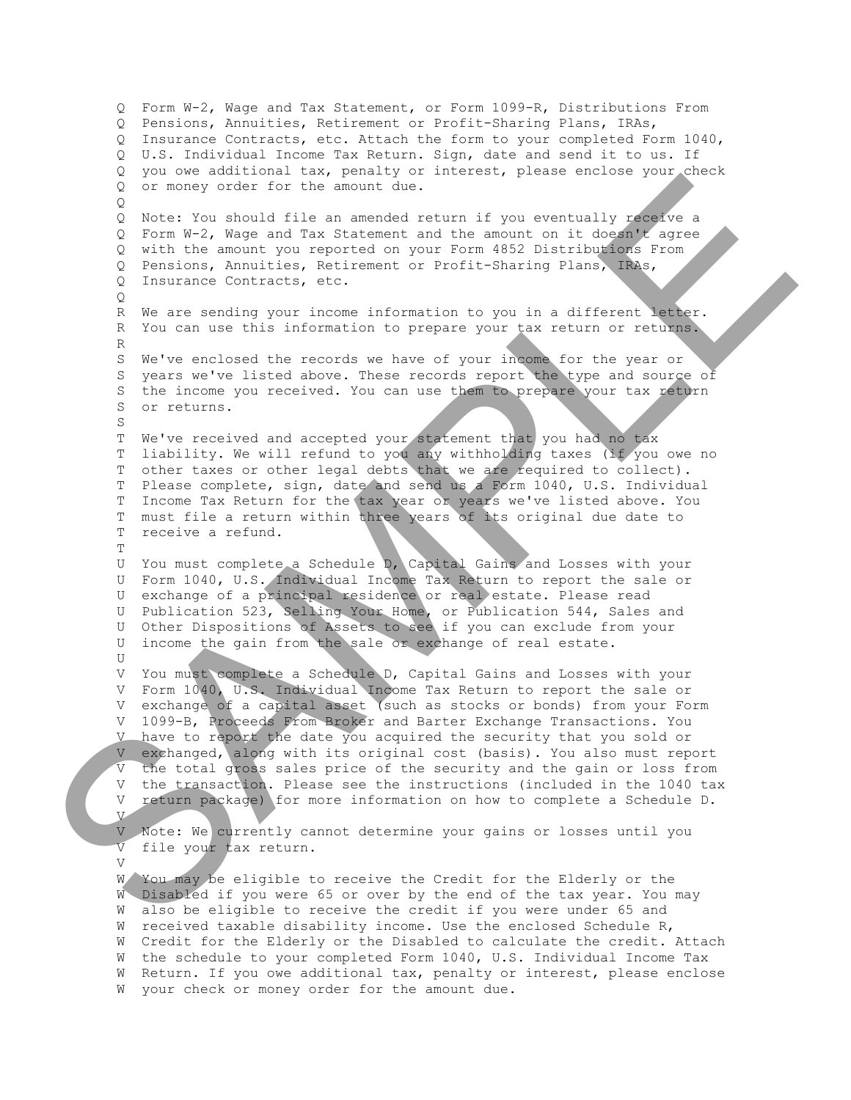Q Form W-2, Wage and Tax Statement, or Form 1099-R, Distributions From Q Pensions, Annuities, Retirement or Profit-Sharing Plans, IRAs, Q Insurance Contracts, etc. Attach the form to your completed Form 1040, Q U.S. Individual Income Tax Return. Sign, date and send it to us. If Q you owe additional tax, penalty or interest, please enclose your check Q or money order for the amount due.  $\circ$  Q Note: You should file an amended return if you eventually receive a Q Form W-2, Wage and Tax Statement and the amount on it doesn't agree Q with the amount you reported on your Form 4852 Distributions From Q Pensions, Annuities, Retirement or Profit-Sharing Plans, IRAs, Q Insurance Contracts, etc. Q R We are sending your income information to you in a different letter. R You can use this information to prepare your tax return or returns. R S We've enclosed the records we have of your income for the year or S years we've listed above. These records report the type and source of S the income you received. You can use them to prepare your tax return S or returns. S T We've received and accepted your statement that you had no tax T liability. We will refund to you any withholding taxes (if you owe no T other taxes or other legal debts that we are required to collect). T Please complete, sign, date and send us a Form 1040, U.S. Individual T Income Tax Return for the tax year or years we've listed above. You T must file a return within three years of its original due date to T receive a refund.  $T$  U You must complete a Schedule D, Capital Gains and Losses with your U Form 1040, U.S. Individual Income Tax Return to report the sale or U exchange of a principal residence or real estate. Please read U Publication 523, Selling Your Home, or Publication 544, Sales and U Other Dispositions of Assets to see if you can exclude from your U income the gain from the sale or exchange of real estate.  $II$  V You must complete a Schedule D, Capital Gains and Losses with your V Form 1040, U.S. Individual Income Tax Return to report the sale or V exchange of a capital asset (such as stocks or bonds) from your Form V 1099-B, Proceeds From Broker and Barter Exchange Transactions. You V have to report the date you acquired the security that you sold or V exchanged, along with its original cost (basis). You also must report V the total gross sales price of the security and the gain or loss from V the transaction. Please see the instructions (included in the 1040 tax V return package) for more information on how to complete a Schedule D. V V Note: We currently cannot determine your gains or losses until you V file your tax return.  $\overline{V}$  W You may be eligible to receive the Credit for the Elderly or the W Disabled if you were 65 or over by the end of the tax year. You may W also be eligible to receive the credit if you were under 65 and W received taxable disability income. Use the enclosed Schedule R, W Credit for the Elderly or the Disabled to calculate the credit. Attach W the schedule to your completed Form 1040, U.S. Individual Income Tax W Return. If you owe additional tax, penalty or interest, please enclose W your check or money order for the amount due. O or money cuch rate and ancient of the money cuch rate of the money cuch rate and the money cuch rate and the money and the money and the money cuch of the money and the money current of the money and the money current o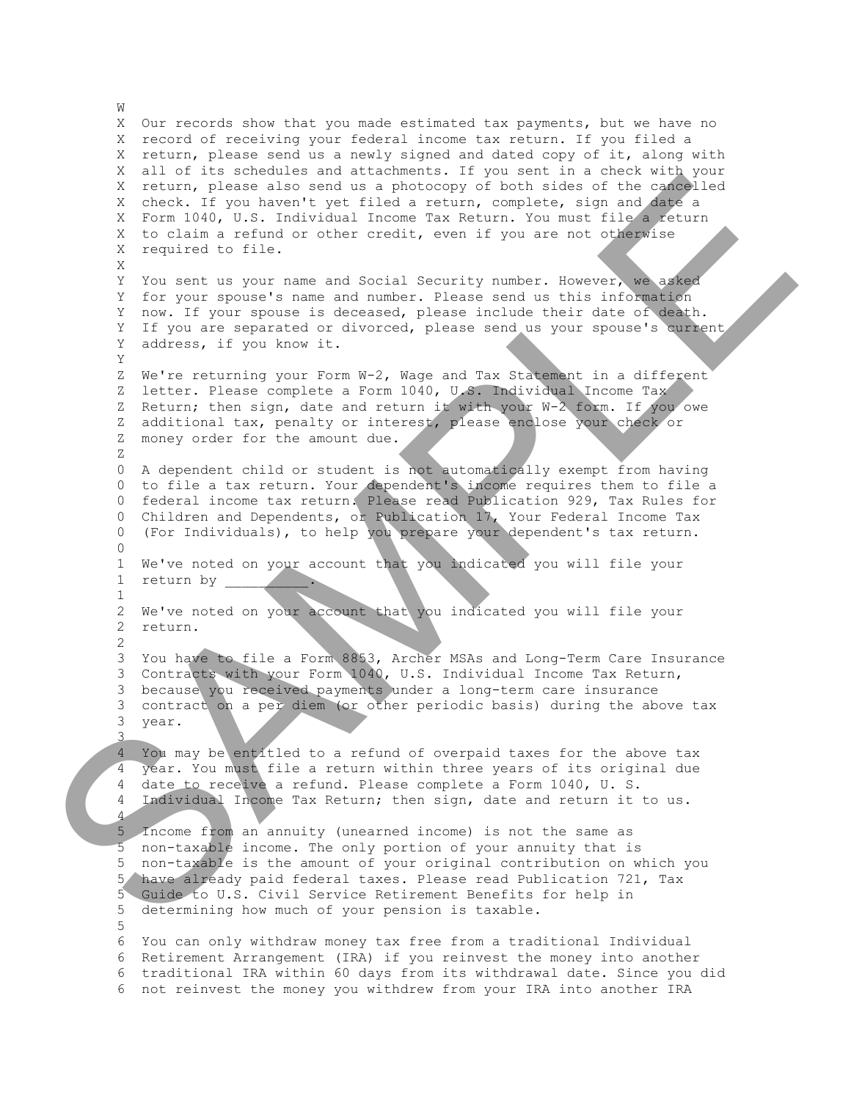X Our records show that you made estimated tax payments, but we have no X record of receiving your federal income tax return. If you filed a X return, please send us a newly signed and dated copy of it, along with X all of its schedules and attachments. If you sent in a check with your X return, please also send us a photocopy of both sides of the cancelled X check. If you haven't yet filed a return, complete, sign and date a X Form 1040, U.S. Individual Income Tax Return. You must file a return X to claim a refund or other credit, even if you are not otherwise X required to file. X Y You sent us your name and Social Security number. However, we asked Y for your spouse's name and number. Please send us this information Y now. If your spouse is deceased, please include their date of death. Y If you are separated or divorced, please send us your spouse's current Y address, if you know it. Y Z We're returning your Form W-2, Wage and Tax Statement in a different Z letter. Please complete a Form 1040, U.S. Individual Income Tax Z Return; then sign, date and return it with your W-2 form. If you owe Z additional tax, penalty or interest, please enclose your check or Z money order for the amount due. Z 0 A dependent child or student is not automatically exempt from having 0 to file a tax return. Your dependent's income requires them to file a 0 federal income tax return. Please read Publication 929, Tax Rules for 0 Children and Dependents, or Publication 17, Your Federal Income Tax 0 (For Individuals), to help you prepare your dependent's tax return.  $\cap$  1 We've noted on your account that you indicated you will file your 1 return by \_ 1 2 We've noted on your account that you indicated you will file your 2 return. 2 3 You have to file a Form 8853, Archer MSAs and Long-Term Care Insurance 3 Contracts with your Form 1040, U.S. Individual Income Tax Return, 3 because you received payments under a long-term care insurance 3 contract on a per diem (or other periodic basis) during the above tax 3 year. 3 4 You may be entitled to a refund of overpaid taxes for the above tax 4 year. You must file a return within three years of its original due 4 date to receive a refund. Please complete a Form 1040, U. S. 4 Individual Income Tax Return; then sign, date and return it to us. 4 5 Income from an annuity (unearned income) is not the same as 5 non-taxable income. The only portion of your annuity that is 5 non-taxable is the amount of your original contribution on which you 5 have already paid federal taxes. Please read Publication 721, Tax 5 Guide to U.S. Civil Service Retirement Benefits for help in 5 determining how much of your pension is taxable. 5 6 You can only withdraw money tax free from a traditional Individual 6 Retirement Arrangement (IRA) if you reinvest the money into another 6 traditional IRA within 60 days from its withdrawal date. Since you did 6 not reinvest the money you withdrew from your IRA into another IRA X are in collective to the animal of photographs of the same of the same of the same of the same of the same of the same of the same of the same of the same of the same of the same of the same of the same of the same of t

**W**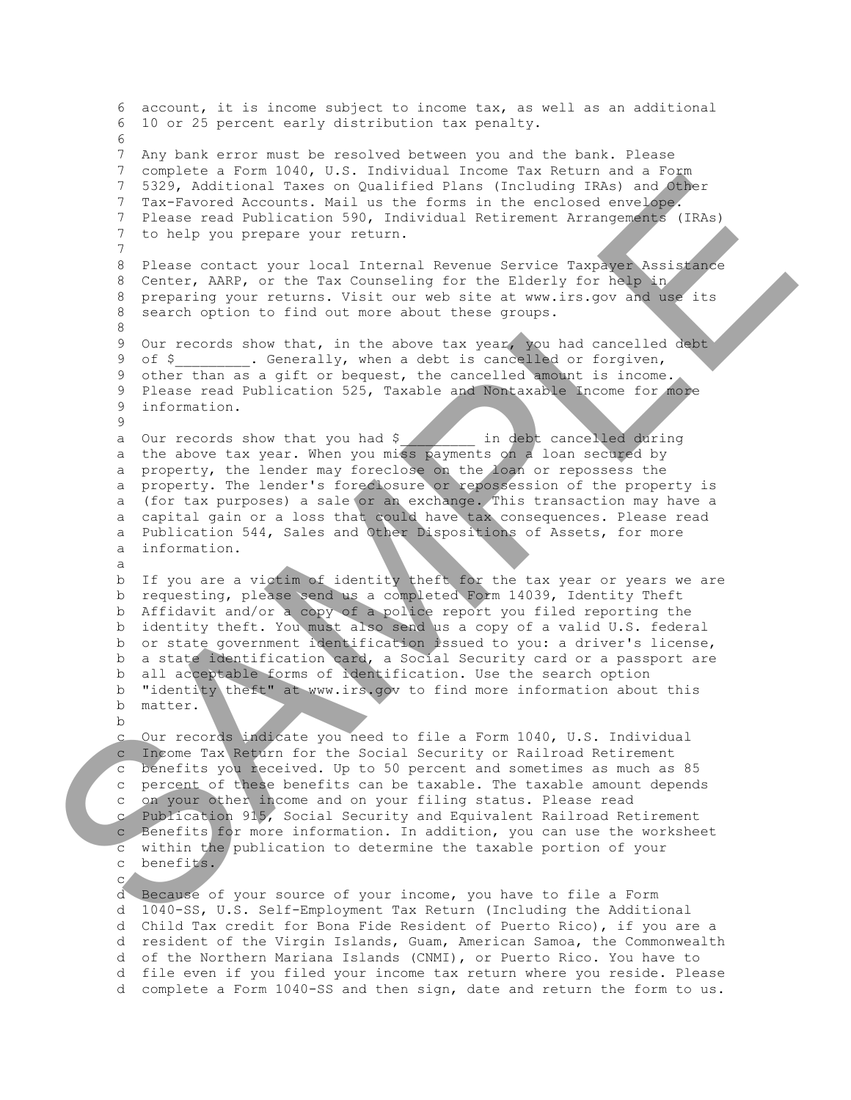6 account, it is income subject to income tax, as well as an additional 6 10 or 25 percent early distribution tax penalty. 6 7 Any bank error must be resolved between you and the bank. Please 7 complete a Form 1040, U.S. Individual Income Tax Return and a Form 7 5329, Additional Taxes on Qualified Plans (Including IRAs) and Other 7 Tax-Favored Accounts. Mail us the forms in the enclosed envelope. 7 Please read Publication 590, Individual Retirement Arrangements (IRAs) 7 to help you prepare your return. 7 8 Please contact your local Internal Revenue Service Taxpayer Assistance 8 Center, AARP, or the Tax Counseling for the Elderly for help in 8 preparing your returns. Visit our web site at www.irs.gov and use its 8 search option to find out more about these groups. 8 9 Our records show that, in the above tax year, you had cancelled debt 9 of \$<br>1. Generally, when a debt is cancelled or forgiven, 9 other than as a gift or bequest, the cancelled amount is income. 9 Please read Publication 525, Taxable and Nontaxable Income for more 9 information. 9 a Our records show that you had \$ \_\_\_\_\_\_\_ in debt cancelled during a the above tax year. When you miss payments on a loan secured by a property, the lender may foreclose on the loan or repossess the a property. The lender's foreclosure or repossession of the property is a (for tax purposes) a sale or an exchange. This transaction may have a a capital gain or a loss that could have tax consequences. Please read a Publication 544, Sales and Other Dispositions of Assets, for more a information. a b If you are a victim of identity theft for the tax year or years we are b requesting, please send us a completed Form 14039, Identity Theft b Affidavit and/or a copy of a police report you filed reporting the b identity theft. You must also send us a copy of a valid U.S. federal b or state government identification issued to you: a driver's license, b a state identification card, a Social Security card or a passport are b all acceptable forms of identification. Use the search option b "identity theft" at www.irs.gov to find more information about this b matter. b c Our records indicate you need to file a Form 1040, U.S. Individual c Income Tax Return for the Social Security or Railroad Retirement c benefits you received. Up to 50 percent and sometimes as much as 85 c percent of these benefits can be taxable. The taxable amount depends c on your other income and on your filing status. Please read c Publication 915, Social Security and Equivalent Railroad Retirement c Benefits for more information. In addition, you can use the worksheet c within the publication to determine the taxable portion of your c benefits. c d Because of your source of your income, you have to file a Form d 1040-SS, U.S. Self-Employment Tax Return (Including the Additional d Child Tax credit for Bona Fide Resident of Puerto Rico), if you are a d resident of the Virgin Islands, Guam, American Samoa, the Commonwealth d of the Northern Mariana Islands (CNMI), or Puerto Rico. You have to The state read functions of contribution in the state of the state is a state of the state is a state of the state is a state of the state of the state is a state of the state of the state is a state of the state of the st

 d file even if you filed your income tax return where you reside. Please d complete a Form 1040 -SS and then sign, date and return the form to us.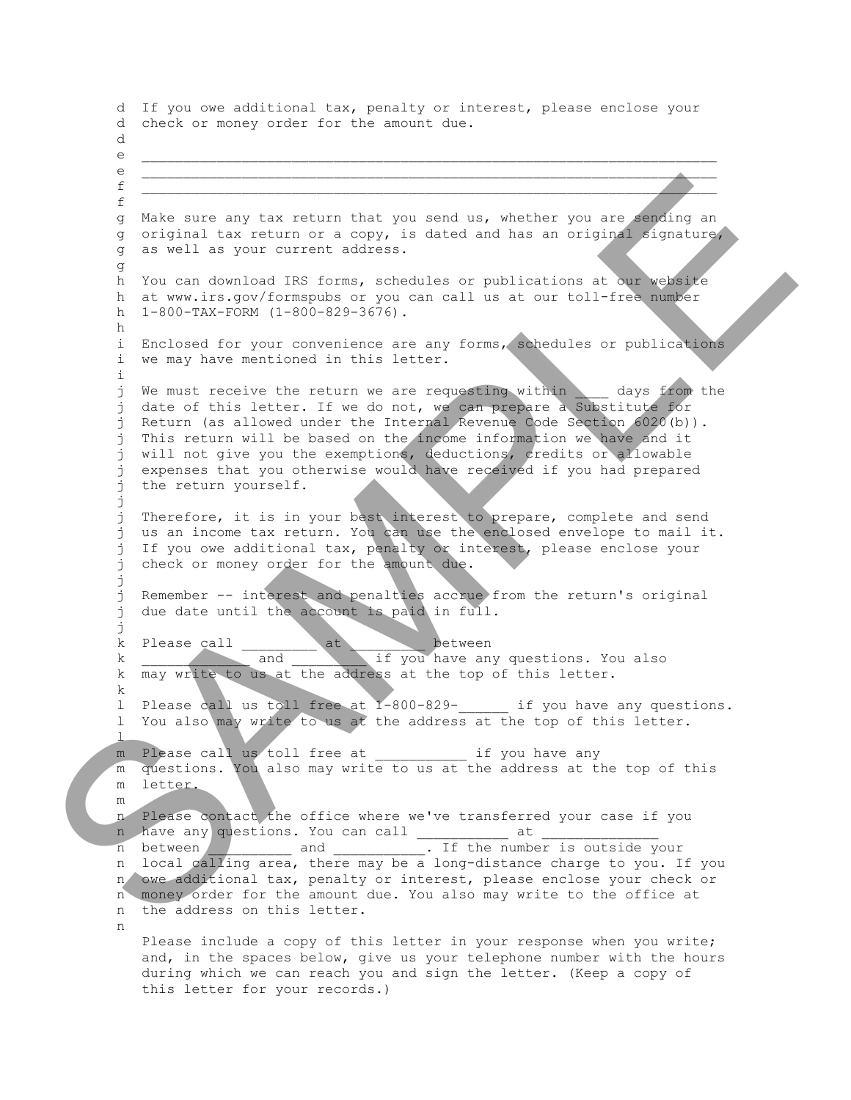d If you owe additional tax, penalty or interest, please enclose your d check or money order for the amount due. d  $e$  $e$  $f$  and the contract of the contract of the contract of the contract of the contract of the contract of the contract of the contract of the contract of the contract of the contract of the contract of the contract of the c f g Make sure any tax return that you send us, whether you are sending an g original tax return or a copy, is dated and has an original signature, g as well as your current address. g h You can download IRS forms, schedules or publications at our website h at www.irs.gov/formspubs or you can call us at our toll-free number h 1-800-TAX-FORM (1-800-829-3676). h i Enclosed for your convenience are any forms, schedules or publications i we may have mentioned in this letter. i j We must receive the return we are requesting within days from the j date of this letter. If we do not, we can prepare a Substitute for j Return (as allowed under the Internal Revenue Code Section 6020(b)). j This return will be based on the income information we have and it j will not give you the exemptions, deductions, credits or allowable j expenses that you otherwise would have received if you had prepared j the return yourself. j j Therefore, it is in your best interest to prepare, complete and send j us an income tax return. You can use the enclosed envelope to mail it. j If you owe additional tax, penalty or interest, please enclose your j check or money order for the amount due. j j Remember -- interest and penalties accrue from the return's original j due date until the account is paid in full. j k Please call and at the between<br>
k and if you have any if you have any questions. You also k may write to us at the address at the top of this letter. k l Please call us toll free at 1-800-829-\_\_\_\_\_\_ if you have any questions. l You also may write to us at the address at the top of this letter.  $\frac{1}{\sqrt{2}}$ m Please call us toll free at \_\_\_\_\_\_\_\_\_\_\_ if you have any m questions. You also may write to us at the address at the top of this m letter. m n Please contact the office where we've transferred your case if you n have any questions. You can call \_\_\_\_\_\_\_\_\_\_\_\_ at n between and and Time number is outside your n local calling area, there may be a long-distance charge to you. If you n owe additional tax, penalty or interest, please enclose your check or n money order for the amount due. You also may write to the office at n the address on this letter. n Please include a copy of this letter in your response when you write; and, in the spaces below, give us your telephone number with the hours during which we can reach you and sign the letter. (Keep a copy of this letter for your records.) A state size any tax return that you send as, whether you set along an original of original to some of a convent scheme of a convention of a convention of a convention of a convention of a convention of a convention of a